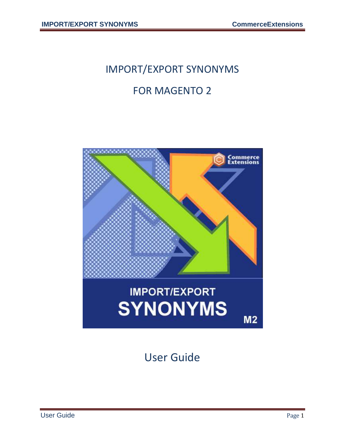# IMPORT/EXPORT SYNONYMS

#### FOR MAGENTO 2



User Guide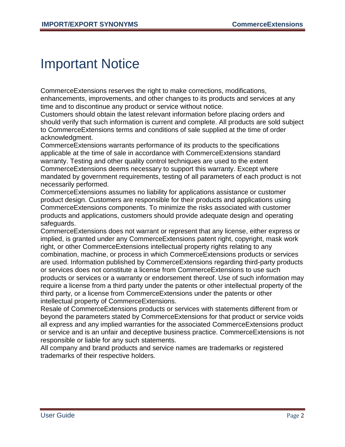#### Important Notice

CommerceExtensions reserves the right to make corrections, modifications, enhancements, improvements, and other changes to its products and services at any time and to discontinue any product or service without notice.

Customers should obtain the latest relevant information before placing orders and should verify that such information is current and complete. All products are sold subject to CommerceExtensions terms and conditions of sale supplied at the time of order acknowledgment.

CommerceExtensions warrants performance of its products to the specifications applicable at the time of sale in accordance with CommerceExtensions standard warranty. Testing and other quality control techniques are used to the extent CommerceExtensions deems necessary to support this warranty. Except where mandated by government requirements, testing of all parameters of each product is not necessarily performed.

CommerceExtensions assumes no liability for applications assistance or customer product design. Customers are responsible for their products and applications using CommerceExtensions components. To minimize the risks associated with customer products and applications, customers should provide adequate design and operating safeguards.

CommerceExtensions does not warrant or represent that any license, either express or implied, is granted under any CommerceExtensions patent right, copyright, mask work right, or other CommerceExtensions intellectual property rights relating to any combination, machine, or process in which CommerceExtensions products or services are used. Information published by CommerceExtensions regarding third-party products or services does not constitute a license from CommerceExtensions to use such products or services or a warranty or endorsement thereof. Use of such information may require a license from a third party under the patents or other intellectual property of the third party, or a license from CommerceExtensions under the patents or other intellectual property of CommerceExtensions.

Resale of CommerceExtensions products or services with statements different from or beyond the parameters stated by CommerceExtensions for that product or service voids all express and any implied warranties for the associated CommerceExtensions product or service and is an unfair and deceptive business practice. CommerceExtensions is not responsible or liable for any such statements.

All company and brand products and service names are trademarks or registered trademarks of their respective holders.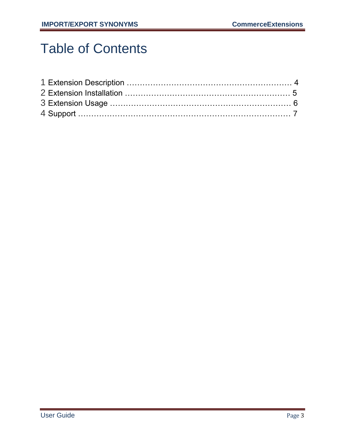## Table of Contents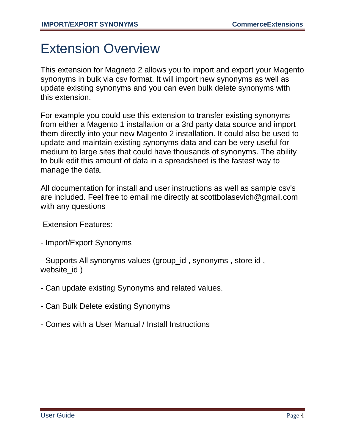### Extension Overview

This extension for Magneto 2 allows you to import and export your Magento synonyms in bulk via csv format. It will import new synonyms as well as update existing synonyms and you can even bulk delete synonyms with this extension.

For example you could use this extension to transfer existing synonyms from either a Magento 1 installation or a 3rd party data source and import them directly into your new Magento 2 installation. It could also be used to update and maintain existing synonyms data and can be very useful for medium to large sites that could have thousands of synonyms. The ability to bulk edit this amount of data in a spreadsheet is the fastest way to manage the data.

All documentation for install and user instructions as well as sample csv's are included. Feel free to email me directly at scottbolasevich@gmail.com with any questions

Extension Features:

- Import/Export Synonyms

- Supports All synonyms values (group\_id , synonyms , store id , website id )

- Can update existing Synonyms and related values.
- Can Bulk Delete existing Synonyms
- Comes with a User Manual / Install Instructions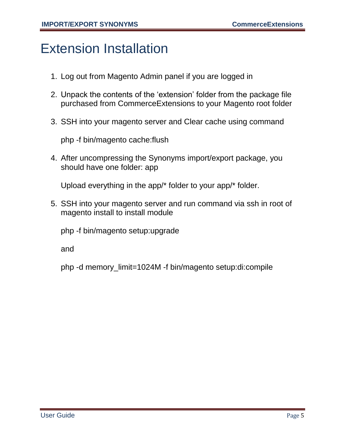#### Extension Installation

- 1. Log out from Magento Admin panel if you are logged in
- 2. Unpack the contents of the 'extension' folder from the package file purchased from CommerceExtensions to your Magento root folder
- 3. SSH into your magento server and Clear cache using command

php -f bin/magento cache:flush

4. After uncompressing the Synonyms import/export package, you should have one folder: app

Upload everything in the app/\* folder to your app/\* folder.

5. SSH into your magento server and run command via ssh in root of magento install to install module

php -f bin/magento setup:upgrade

and

php -d memory\_limit=1024M -f bin/magento setup:di:compile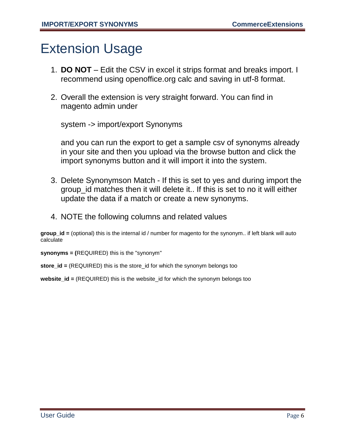#### Extension Usage

- 1. **DO NOT** Edit the CSV in excel it strips format and breaks import. I recommend using openoffice.org calc and saving in utf-8 format.
- 2. Overall the extension is very straight forward. You can find in magento admin under

system -> import/export Synonyms

and you can run the export to get a sample csv of synonyms already in your site and then you upload via the browse button and click the import synonyms button and it will import it into the system.

- 3. Delete Synonymson Match If this is set to yes and during import the group id matches then it will delete it.. If this is set to no it will either update the data if a match or create a new synonyms.
- 4. NOTE the following columns and related values

**group**  $id =$  (optional) this is the internal id / number for magento for the synonym.. if left blank will auto calculate

**synonyms = (**REQUIRED) this is the "synonym"

**store\_id =** (REQUIRED) this is the store\_id for which the synonym belongs too

**website\_id =** (REQUIRED) this is the website\_id for which the synonym belongs too